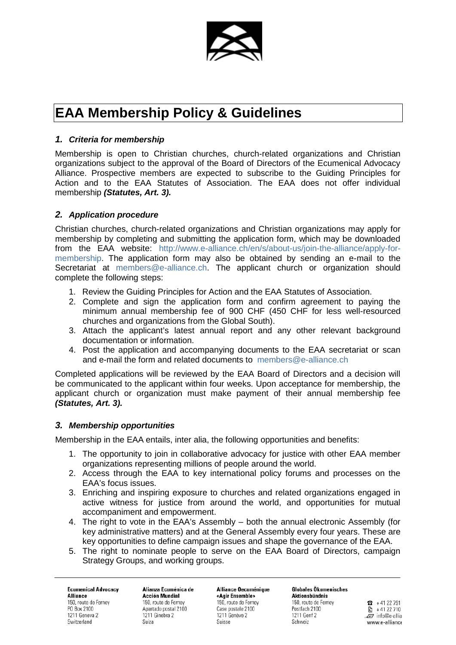

# **EAA Membership Policy & Guidelines**

## *1. Criteria for membership*

Membership is open to Christian churches, church-related organizations and Christian organizations subject to the approval of the Board of Directors of the Ecumenical Advocacy Alliance. Prospective members are expected to subscribe to the Guiding Principles for Action and to the EAA Statutes of Association. The EAA does not offer individual membership *(Statutes, Art. 3).*

## *2. Application procedure*

Christian churches, church-related organizations and Christian organizations may apply for membership by completing and submitting the application form, which may be downloaded from the EAA website: [http://www.e-alliance.ch/en/s/about-us/join-the-alliance/apply-for](http://www.e-alliance.ch/en/s/about-us/join-the-alliance/apply-for-membership)[membership.](http://www.e-alliance.ch/en/s/about-us/join-the-alliance/apply-for-membership) The application form may also be obtained by sending an e-mail to the Secretariat at [members@e-alliance.ch.](mailto:members@e-alliance.ch) The applicant church or organization should complete the following steps:

- 1. Review the Guiding Principles for Action and the EAA Statutes of Association.
- 2. Complete and sign the application form and confirm agreement to paying the minimum annual membership fee of 900 CHF (450 CHF for less well-resourced churches and organizations from the Global South).
- 3. Attach the applicant's latest annual report and any other relevant background documentation or information.
- 4. Post the application and accompanying documents to the EAA secretariat or scan and e-mail the form and related documents to [members@e-alliance.ch](mailto:members@e-alliance.ch)

Completed applications will be reviewed by the EAA Board of Directors and a decision will be communicated to the applicant within four weeks. Upon acceptance for membership, the applicant church or organization must make payment of their annual membership fee *(Statutes, Art. 3).*

## *3. Membership opportunities*

Membership in the EAA entails, inter alia, the following opportunities and benefits:

- 1. The opportunity to join in collaborative advocacy for justice with other EAA member organizations representing millions of people around the world.
- 2. Access through the EAA to key international policy forums and processes on the EAA's focus issues.
- 3. Enriching and inspiring exposure to churches and related organizations engaged in active witness for justice from around the world, and opportunities for mutual accompaniment and empowerment.
- 4. The right to vote in the EAA's Assembly both the annual electronic Assembly (for key administrative matters) and at the General Assembly every four years. These are key opportunities to define campaign issues and shape the governance of the EAA.
- 5. The right to nominate people to serve on the EAA Board of Directors, campaign Strategy Groups, and working groups.

**Ecumenical Advocacy Alliance** 150, route de Ferney PO Box 2100 1211 Geneva 2 Switzerland

Alianza Ecuménica de **Acción Mundial** 150, route de Ferney Apartado postal 2100 1211 Ginebra 2 Suiza

Alliance Oecuménique «Agir Ensemble» 150, route de Ferney Case postale 2100 1211 Genève 2 Suisse

**Globales Okumenisches Aktionsbündnis** 150, route de Ferney Postfach 2100 1211 Genf 2 Schweiz

 $R + 4122791$  $\mathbb{R}$  +41 22 710  $\bar{F}$  info@e-allia www.e-alliance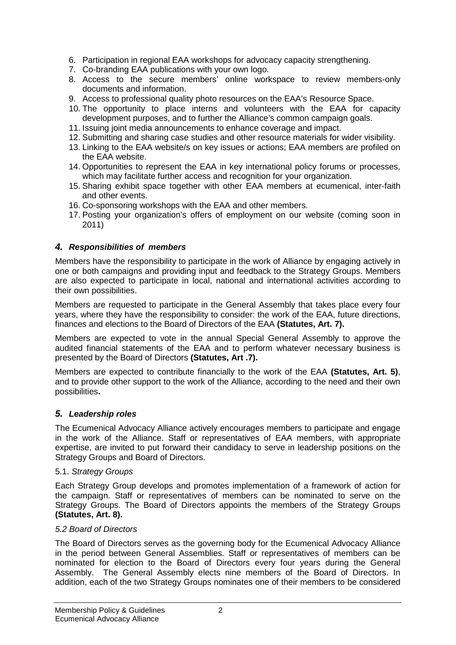- 6. Participation in regional EAA workshops for advocacy capacity strengthening.
- 7. Co-branding EAA publications with your own logo.
- 8. Access to the secure members' online workspace to review members-only documents and information.
- 9. Access to professional quality photo resources on the EAA's Resource Space.
- 10. The opportunity to place interns and volunteers with the EAA for capacity development purposes, and to further the Alliance's common campaign goals.
- 11. Issuing joint media announcements to enhance coverage and impact.
- 12. Submitting and sharing case studies and other resource materials for wider visibility.
- 13. Linking to the EAA website/s on key issues or actions; EAA members are profiled on the EAA website.
- 14. Opportunities to represent the EAA in key international policy forums or processes, which may facilitate further access and recognition for your organization.
- 15. Sharing exhibit space together with other EAA members at ecumenical, inter-faith and other events.
- 16. Co-sponsoring workshops with the EAA and other members.
- 17. Posting your organization's offers of employment on our website (coming soon in 2011)

## *4. Responsibilities of members*

Members have the responsibility to participate in the work of Alliance by engaging actively in one or both campaigns and providing input and feedback to the Strategy Groups. Members are also expected to participate in local, national and international activities according to their own possibilities.

Members are requested to participate in the General Assembly that takes place every four years, where they have the responsibility to consider: the work of the EAA, future directions, finances and elections to the Board of Directors of the EAA **(Statutes, Art. 7).** 

Members are expected to vote in the annual Special General Assembly to approve the audited financial statements of the EAA and to perform whatever necessary business is presented by the Board of Directors **(Statutes, Art .7).**

Members are expected to contribute financially to the work of the EAA **(Statutes, Art. 5)**, and to provide other support to the work of the Alliance, according to the need and their own possibilities**.** 

## *5. Leadership roles*

The Ecumenical Advocacy Alliance actively encourages members to participate and engage in the work of the Alliance. Staff or representatives of EAA members, with appropriate expertise, are invited to put forward their candidacy to serve in leadership positions on the Strategy Groups and Board of Directors.

## 5.1. *Strategy Groups*

Each Strategy Group develops and promotes implementation of a framework of action for the campaign. Staff or representatives of members can be nominated to serve on the Strategy Groups. The Board of Directors appoints the members of the Strategy Groups **(Statutes, Art. 8).**

## *5.2 Board of Directors*

The Board of Directors serves as the governing body for the Ecumenical Advocacy Alliance in the period between General Assemblies. Staff or representatives of members can be nominated for election to the Board of Directors every four years during the General Assembly. The General Assembly elects nine members of the Board of Directors. In addition, each of the two Strategy Groups nominates one of their members to be considered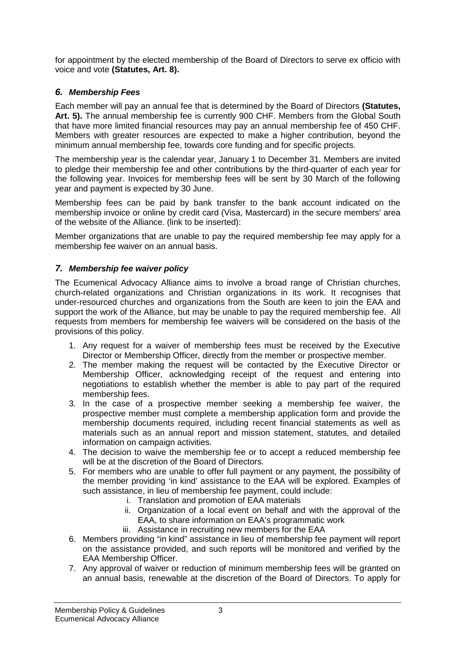for appointment by the elected membership of the Board of Directors to serve ex officio with voice and vote **(Statutes, Art. 8).**

# *6. Membership Fees*

Each member will pay an annual fee that is determined by the Board of Directors **(Statutes, Art. 5).** The annual membership fee is currently 900 CHF. Members from the Global South that have more limited financial resources may pay an annual membership fee of 450 CHF. Members with greater resources are expected to make a higher contribution, beyond the minimum annual membership fee, towards core funding and for specific projects.

The membership year is the calendar year, January 1 to December 31. Members are invited to pledge their membership fee and other contributions by the third-quarter of each year for the following year. Invoices for membership fees will be sent by 30 March of the following year and payment is expected by 30 June.

Membership fees can be paid by bank transfer to the bank account indicated on the membership invoice or online by credit card (Visa, Mastercard) in the secure members' area of the website of the Alliance. (link to be inserted):

Member organizations that are unable to pay the required membership fee may apply for a membership fee waiver on an annual basis.

## *7. Membership fee waiver policy*

The Ecumenical Advocacy Alliance aims to involve a broad range of Christian churches, church-related organizations and Christian organizations in its work. It recognises that under-resourced churches and organizations from the South are keen to join the EAA and support the work of the Alliance, but may be unable to pay the required membership fee. All requests from members for membership fee waivers will be considered on the basis of the provisions of this policy.

- 1. Any request for a waiver of membership fees must be received by the Executive Director or Membership Officer, directly from the member or prospective member.
- 2. The member making the request will be contacted by the Executive Director or Membership Officer, acknowledging receipt of the request and entering into negotiations to establish whether the member is able to pay part of the required membership fees.
- 3. In the case of a prospective member seeking a membership fee waiver, the prospective member must complete a membership application form and provide the membership documents required, including recent financial statements as well as materials such as an annual report and mission statement, statutes, and detailed information on campaign activities.
- 4. The decision to waive the membership fee or to accept a reduced membership fee will be at the discretion of the Board of Directors.
- 5. For members who are unable to offer full payment or any payment, the possibility of the member providing 'in kind' assistance to the EAA will be explored. Examples of such assistance, in lieu of membership fee payment, could include:
	- i. Translation and promotion of EAA materials
	- ii. Organization of a local event on behalf and with the approval of the EAA, to share information on EAA's programmatic work
	- iii. Assistance in recruiting new members for the EAA
- 6. Members providing "in kind" assistance in lieu of membership fee payment will report on the assistance provided, and such reports will be monitored and verified by the EAA Membership Officer.
- 7. Any approval of waiver or reduction of minimum membership fees will be granted on an annual basis, renewable at the discretion of the Board of Directors. To apply for